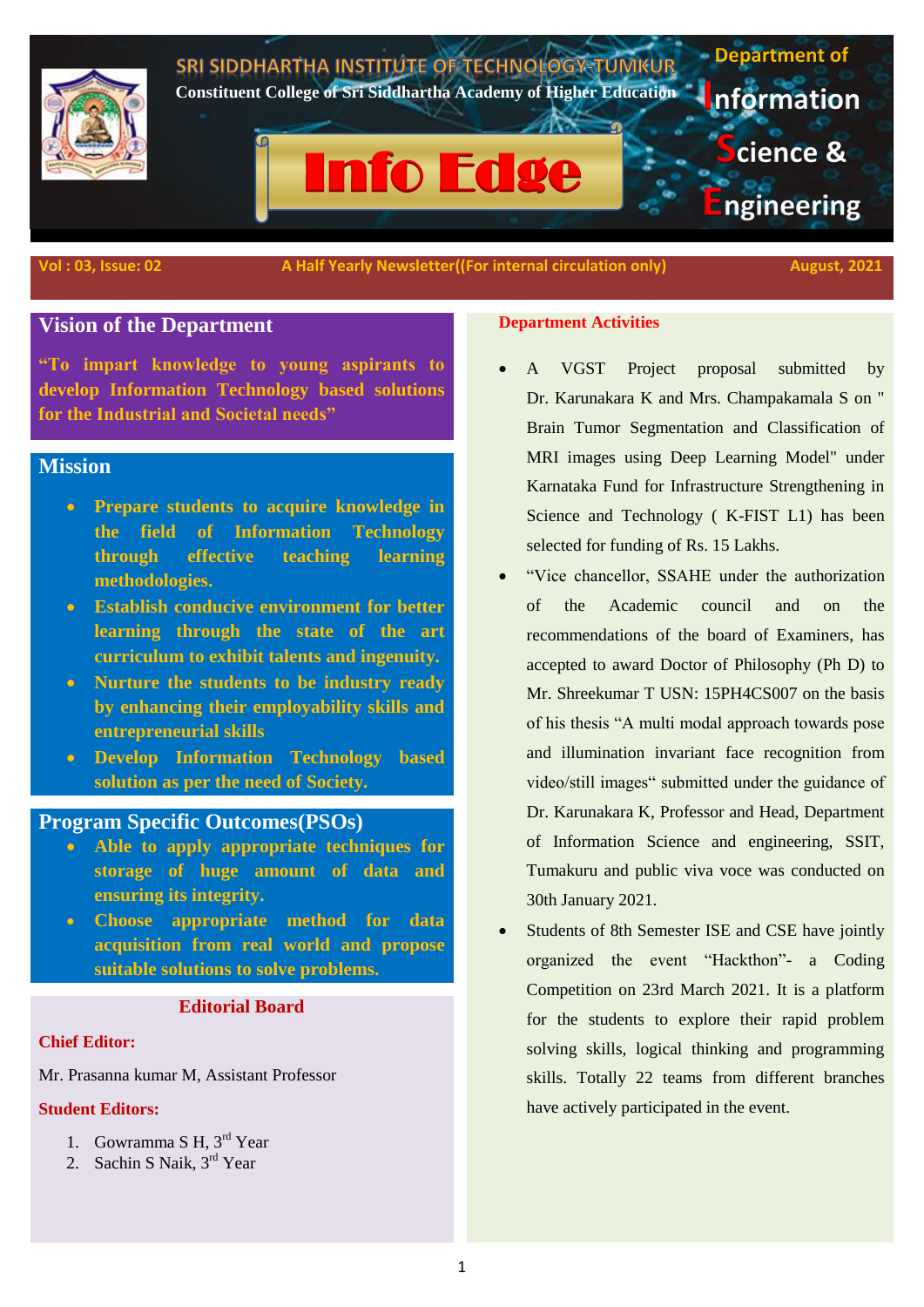

**Vol : 03, Issue: 02** A Half Yearly Newsletter((For internal circulation only) August, 2021

# **Vision of the Department**

**"To impart knowledge to young aspirants to develop Information Technology based solutions for the Industrial and Societal needs"**

# **Mission**

- **Prepare students to acquire knowledge in the field of Information Technology through effective teaching learning methodologies.**
- **Establish conducive environment for better learning through the state of the art curriculum to exhibit talents and ingenuity.**
- **Nurture the students to be industry ready by enhancing their employability skills and entrepreneurial skills**
- **Develop Information Technology based solution as per the need of Society.**

# **Program Specific Outcomes(PSOs)**

- **Able to apply appropriate techniques for storage of huge amount of data and ensuring its integrity.**
- **Choose appropriate method for data acquisition from real world and propose suitable solutions to solve problems.**

### **Editorial Board**

#### **Chief Editor:**

Mr. Prasanna kumar M, Assistant Professor

#### **Student Editors:**

- 1. Gowramma S H, 3rd Year
- 2. Sachin S Naik, 3<sup>rd</sup> Year

#### **Department Activities**

- A VGST Project proposal submitted by Dr. Karunakara K and Mrs. Champakamala S on " Brain Tumor Segmentation and Classification of MRI images using Deep Learning Model" under Karnataka Fund for Infrastructure Strengthening in Science and Technology ( K-FIST L1) has been selected for funding of Rs. 15 Lakhs.
- "Vice chancellor, SSAHE under the authorization of the Academic council and on the recommendations of the board of Examiners, has accepted to award Doctor of Philosophy (Ph D) to Mr. Shreekumar T USN: 15PH4CS007 on the basis of his thesis "A multi modal approach towards pose and illumination invariant face recognition from video/still images" submitted under the guidance of Dr. Karunakara K, Professor and Head, Department of Information Science and engineering, SSIT, Tumakuru and public viva voce was conducted on 30th January 2021.
- Students of 8th Semester ISE and CSE have jointly organized the event "Hackthon"- a Coding Competition on 23rd March 2021. It is a platform for the students to explore their rapid problem solving skills, logical thinking and programming skills. Totally 22 teams from different branches have actively participated in the event.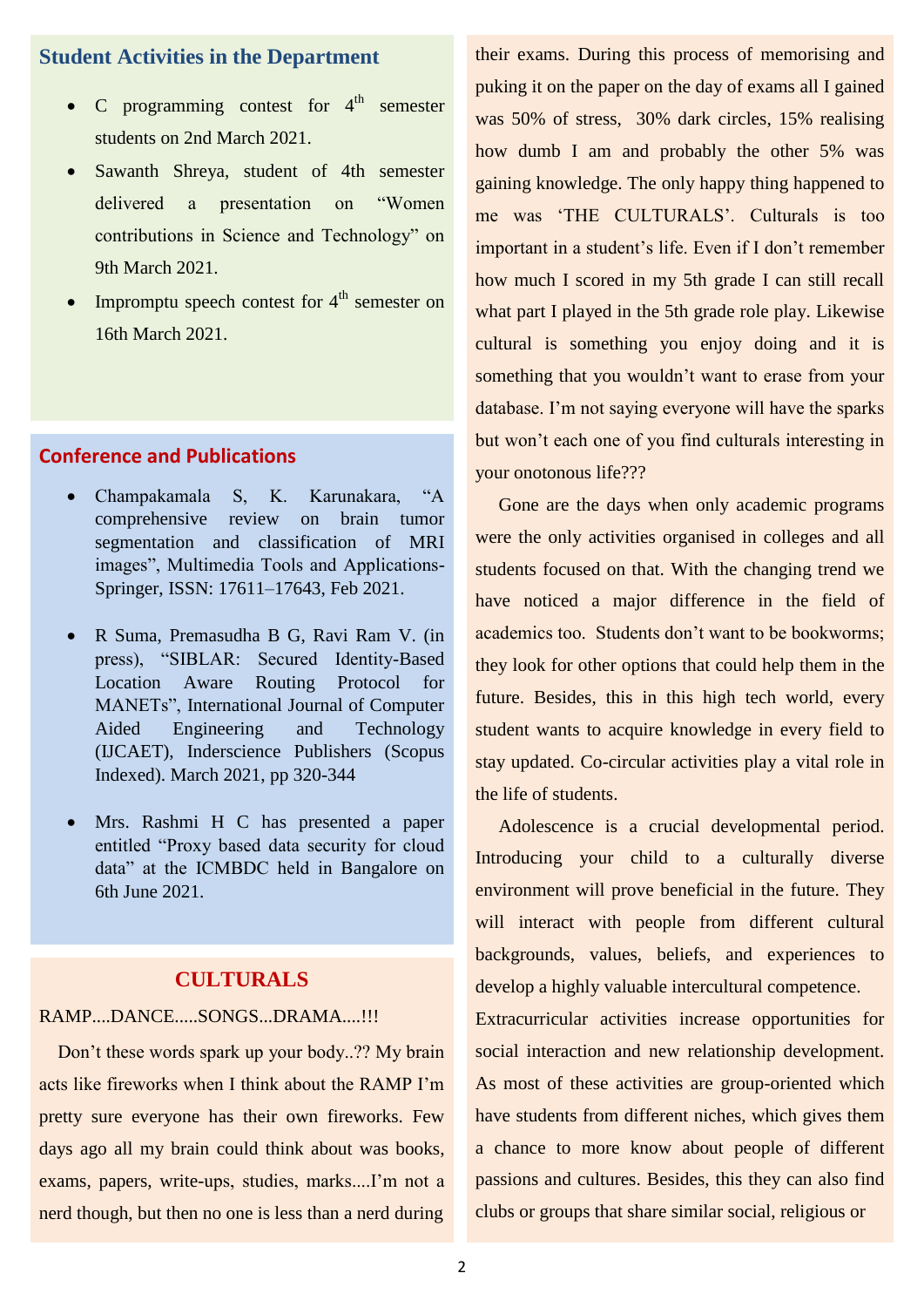# **Student Activities in the Department**

- C programming contest for  $4<sup>th</sup>$  semester students on 2nd March 2021.
- Sawanth Shreya, student of 4th semester delivered a presentation on "Women contributions in Science and Technology" on 9th March 2021.
- Impromptu speech contest for  $4<sup>th</sup>$  semester on 16th March 2021.

# **Conference and Publications**

- Champakamala S, K. Karunakara, "A comprehensive review on brain tumor segmentation and classification of MRI images", Multimedia Tools and Applications-Springer, ISSN: 17611–17643, Feb 2021.
- R Suma, Premasudha B G, Ravi Ram V. (in press), "SIBLAR: Secured Identity-Based Location Aware Routing Protocol for MANETs", International Journal of Computer Aided Engineering and Technology (IJCAET), Inderscience Publishers (Scopus Indexed). March 2021, pp 320-344
- Mrs. Rashmi H C has presented a paper entitled "Proxy based data security for cloud data" at the ICMBDC held in Bangalore on 6th June 2021.

# **CULTURALS**

#### RAMP....DANCE.....SONGS...DRAMA....!!!

 Don"t these words spark up your body..?? My brain acts like fireworks when I think about the RAMP I"m pretty sure everyone has their own fireworks. Few days ago all my brain could think about was books, exams, papers, write-ups, studies, marks....I"m not a nerd though, but then no one is less than a nerd during

their exams. During this process of memorising and puking it on the paper on the day of exams all I gained was 50% of stress, 30% dark circles, 15% realising how dumb I am and probably the other 5% was gaining knowledge. The only happy thing happened to me was "THE CULTURALS". Culturals is too important in a student's life. Even if I don't remember how much I scored in my 5th grade I can still recall what part I played in the 5th grade role play. Likewise cultural is something you enjoy doing and it is something that you wouldn"t want to erase from your database. I'm not saying everyone will have the sparks but won"t each one of you find culturals interesting in your onotonous life???

 Gone are the days when only academic programs were the only activities organised in colleges and all students focused on that. With the changing trend we have noticed a major difference in the field of academics too. Students don"t want to be bookworms; they look for other options that could help them in the future. Besides, this in this high tech world, every student wants to acquire knowledge in every field to stay updated. Co-circular activities play a vital role in the life of students.

 Adolescence is a crucial developmental period. Introducing your child to a culturally diverse environment will prove beneficial in the future. They will interact with people from different cultural backgrounds, values, beliefs, and experiences to develop a highly valuable intercultural competence.

Extracurricular activities increase opportunities for social interaction and new relationship development. As most of these activities are group-oriented which have students from different niches, which gives them a chance to more know about people of different passions and cultures. Besides, this they can also find clubs or groups that share similar social, religious or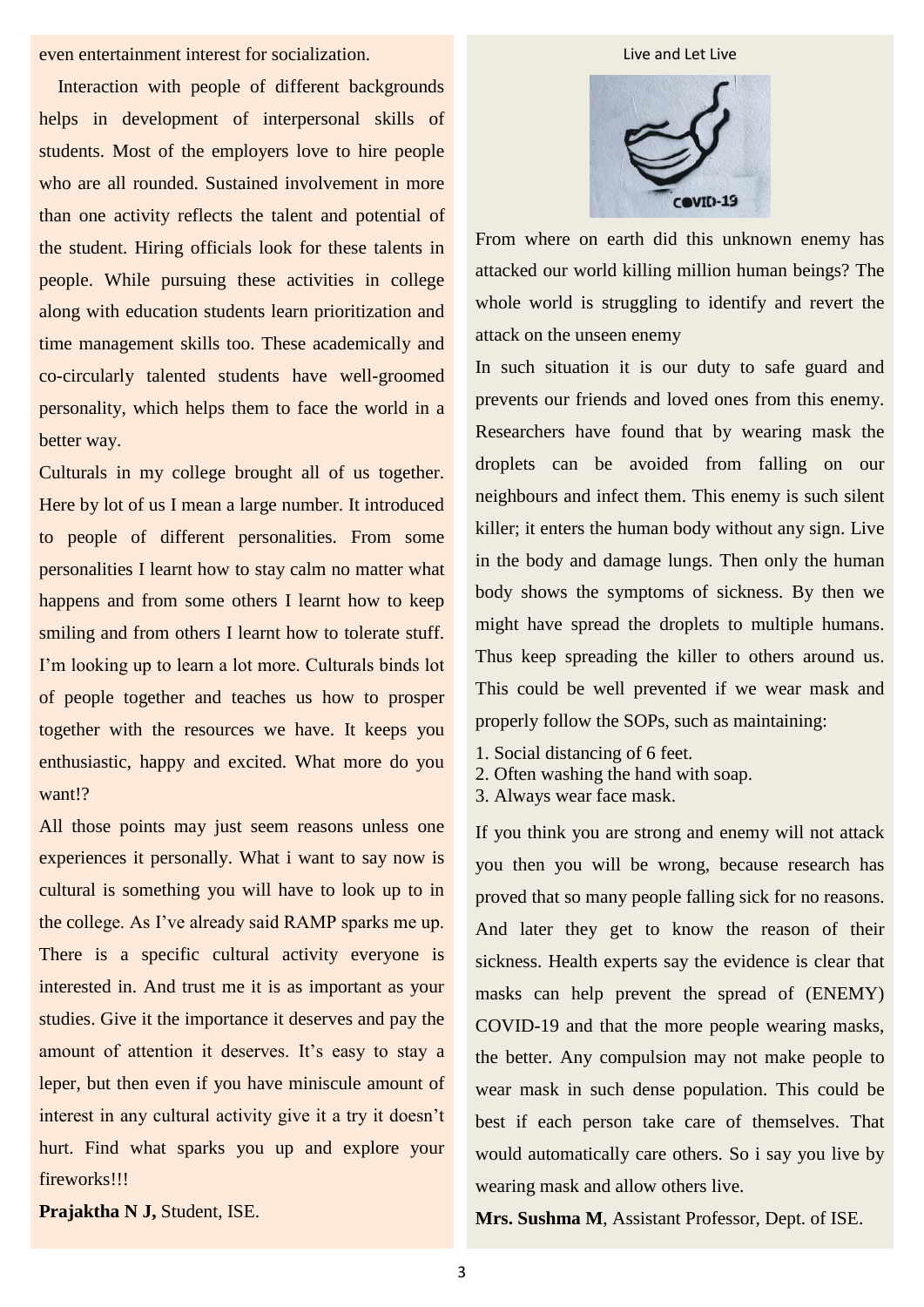even entertainment interest for socialization.

 Interaction with people of different backgrounds helps in development of interpersonal skills of students. Most of the employers love to hire people who are all rounded. Sustained involvement in more than one activity reflects the talent and potential of the student. Hiring officials look for these talents in people. While pursuing these activities in college along with education students learn prioritization and time management skills too. These academically and co-circularly talented students have well-groomed personality, which helps them to face the world in a better way.

Culturals in my college brought all of us together. Here by lot of us I mean a large number. It introduced to people of different personalities. From some personalities I learnt how to stay calm no matter what happens and from some others I learnt how to keep smiling and from others I learnt how to tolerate stuff. I'm looking up to learn a lot more. Culturals binds lot of people together and teaches us how to prosper together with the resources we have. It keeps you enthusiastic, happy and excited. What more do you want!?

All those points may just seem reasons unless one experiences it personally. What i want to say now is cultural is something you will have to look up to in the college. As I've already said RAMP sparks me up. There is a specific cultural activity everyone is interested in. And trust me it is as important as your studies. Give it the importance it deserves and pay the amount of attention it deserves. It's easy to stay a leper, but then even if you have miniscule amount of interest in any cultural activity give it a try it doesn"t hurt. Find what sparks you up and explore your fireworks!!!

**Prajaktha N J,** Student, ISE.

Live and Let Live



From where on earth did this unknown enemy has attacked our world killing million human beings? The whole world is struggling to identify and revert the attack on the unseen enemy

In such situation it is our duty to safe guard and prevents our friends and loved ones from this enemy. Researchers have found that by wearing mask the droplets can be avoided from falling on our neighbours and infect them. This enemy is such silent killer; it enters the human body without any sign. Live in the body and damage lungs. Then only the human body shows the symptoms of sickness. By then we might have spread the droplets to multiple humans. Thus keep spreading the killer to others around us. This could be well prevented if we wear mask and properly follow the SOPs, such as maintaining:

- 1. Social distancing of 6 feet.
- 2. Often washing the hand with soap.
- 3. Always wear face mask.

If you think you are strong and enemy will not attack you then you will be wrong, because research has proved that so many people falling sick for no reasons. And later they get to know the reason of their sickness. Health experts say the evidence is clear that masks can help prevent the spread of (ENEMY) COVID-19 and that the more people wearing masks, the better. Any compulsion may not make people to wear mask in such dense population. This could be best if each person take care of themselves. That would automatically care others. So i say you live by wearing mask and allow others live.

**Mrs. Sushma M**, Assistant Professor, Dept. of ISE.